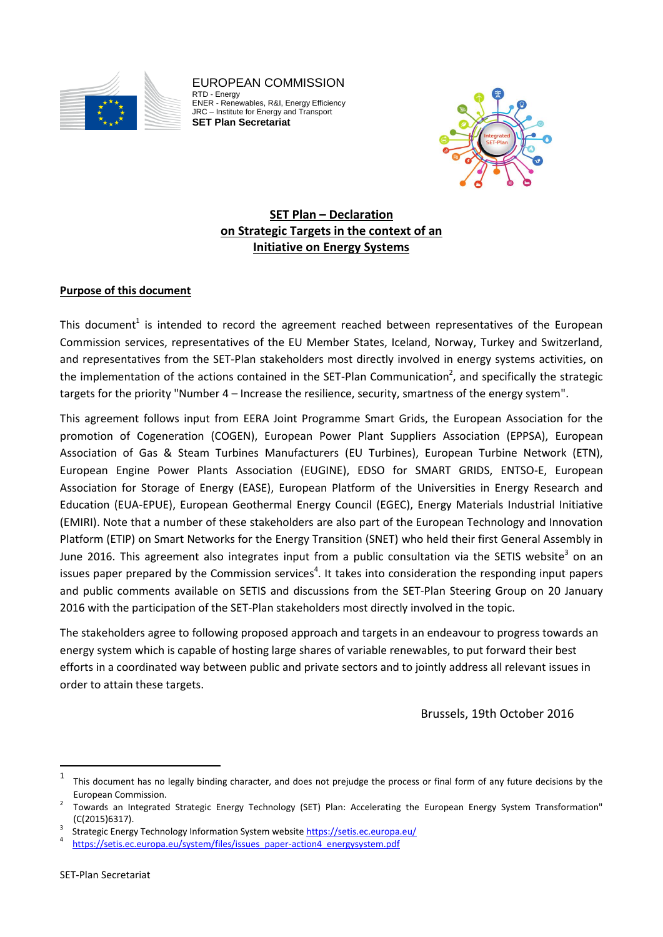

EUROPEAN COMMISSION RTD - Energy ENER - Renewables, R&I, Energy Efficiency JRC – Institute for Energy and Transport **SET Plan Secretariat**



## **SET Plan – Declaration on Strategic Targets in the context of an Initiative on Energy Systems**

## **Purpose of this document**

This document<sup>1</sup> is intended to record the agreement reached between representatives of the European Commission services, representatives of the EU Member States, Iceland, Norway, Turkey and Switzerland, and representatives from the SET-Plan stakeholders most directly involved in energy systems activities, on the implementation of the actions contained in the SET-Plan Communication<sup>2</sup>, and specifically the strategic targets for the priority "Number 4 – Increase the resilience, security, smartness of the energy system".

This agreement follows input from EERA Joint Programme Smart Grids, the European Association for the promotion of Cogeneration (COGEN), European Power Plant Suppliers Association (EPPSA), European Association of Gas & Steam Turbines Manufacturers (EU Turbines), European Turbine Network (ETN), European Engine Power Plants Association (EUGINE), EDSO for SMART GRIDS, ENTSO-E, European Association for Storage of Energy (EASE), European Platform of the Universities in Energy Research and Education (EUA-EPUE), European Geothermal Energy Council (EGEC), Energy Materials Industrial Initiative (EMIRI). Note that a number of these stakeholders are also part of the European Technology and Innovation Platform (ETIP) on Smart Networks for the Energy Transition (SNET) who held their first General Assembly in June 2016. This agreement also integrates input from a public consultation via the SETIS website<sup>3</sup> on an issues paper prepared by the Commission services<sup>4</sup>. It takes into consideration the responding input papers and public comments available on SETIS and discussions from the SET-Plan Steering Group on 20 January 2016 with the participation of the SET-Plan stakeholders most directly involved in the topic.

The stakeholders agree to following proposed approach and targets in an endeavour to progress towards an energy system which is capable of hosting large shares of variable renewables, to put forward their best efforts in a coordinated way between public and private sectors and to jointly address all relevant issues in order to attain these targets.

Brussels, 19th October 2016

 $\overline{a}$ 

<sup>1</sup> This document has no legally binding character, and does not prejudge the process or final form of any future decisions by the European Commission.

<sup>2</sup> Towards an Integrated Strategic Energy Technology (SET) Plan: Accelerating the European Energy System Transformation" (C(2015)6317). 3

Strategic Energy Technology Information System websit[e https://setis.ec.europa.eu/](https://setis.ec.europa.eu/)

<sup>4</sup> https://setis.ec.europa.eu/system/files/issues\_paper-action4\_energysystem.pdf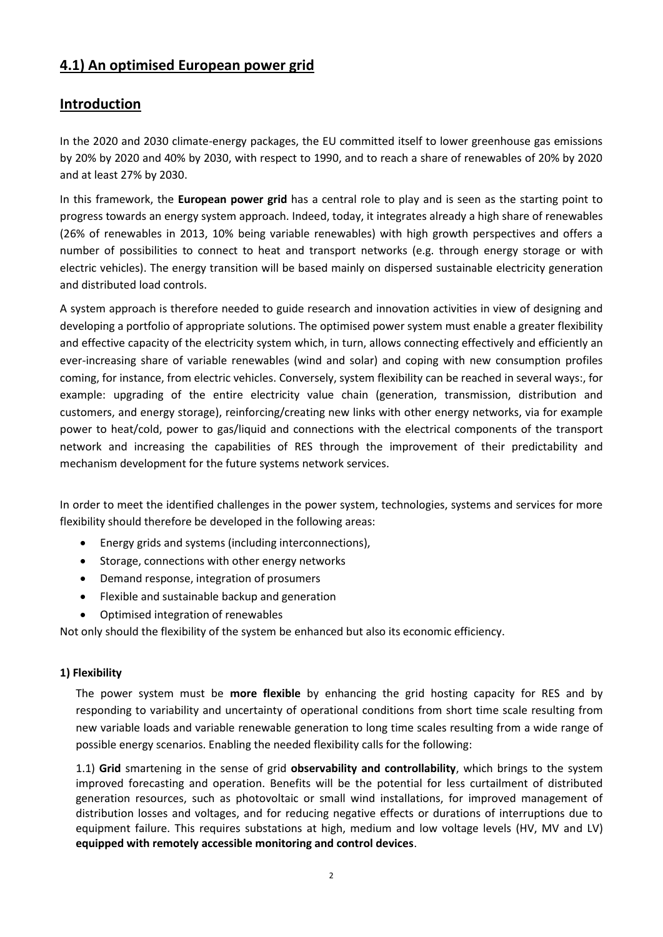# **4.1) An optimised European power grid**

## **Introduction**

In the 2020 and 2030 climate-energy packages, the EU committed itself to lower greenhouse gas emissions by 20% by 2020 and 40% by 2030, with respect to 1990, and to reach a share of renewables of 20% by 2020 and at least 27% by 2030.

In this framework, the **European power grid** has a central role to play and is seen as the starting point to progress towards an energy system approach. Indeed, today, it integrates already a high share of renewables (26% of renewables in 2013, 10% being variable renewables) with high growth perspectives and offers a number of possibilities to connect to heat and transport networks (e.g. through energy storage or with electric vehicles). The energy transition will be based mainly on dispersed sustainable electricity generation and distributed load controls.

A system approach is therefore needed to guide research and innovation activities in view of designing and developing a portfolio of appropriate solutions. The optimised power system must enable a greater flexibility and effective capacity of the electricity system which, in turn, allows connecting effectively and efficiently an ever-increasing share of variable renewables (wind and solar) and coping with new consumption profiles coming, for instance, from electric vehicles. Conversely, system flexibility can be reached in several ways:, for example: upgrading of the entire electricity value chain (generation, transmission, distribution and customers, and energy storage), reinforcing/creating new links with other energy networks, via for example power to heat/cold, power to gas/liquid and connections with the electrical components of the transport network and increasing the capabilities of RES through the improvement of their predictability and mechanism development for the future systems network services.

In order to meet the identified challenges in the power system, technologies, systems and services for more flexibility should therefore be developed in the following areas:

- Energy grids and systems (including interconnections),
- Storage, connections with other energy networks
- Demand response, integration of prosumers
- Flexible and sustainable backup and generation
- Optimised integration of renewables

Not only should the flexibility of the system be enhanced but also its economic efficiency.

#### **1) Flexibility**

The power system must be **more flexible** by enhancing the grid hosting capacity for RES and by responding to variability and uncertainty of operational conditions from short time scale resulting from new variable loads and variable renewable generation to long time scales resulting from a wide range of possible energy scenarios. Enabling the needed flexibility calls for the following:

1.1) **Grid** smartening in the sense of grid **observability and controllability**, which brings to the system improved forecasting and operation. Benefits will be the potential for less curtailment of distributed generation resources, such as photovoltaic or small wind installations, for improved management of distribution losses and voltages, and for reducing negative effects or durations of interruptions due to equipment failure. This requires substations at high, medium and low voltage levels (HV, MV and LV) **equipped with remotely accessible monitoring and control devices**.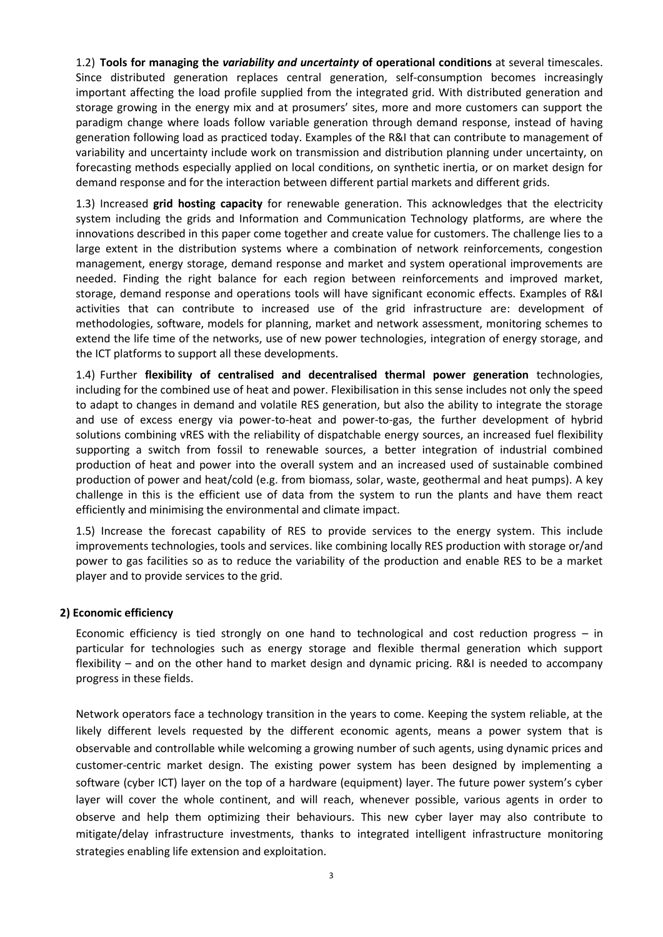1.2) **Tools for managing the** *variability and uncertainty* **of operational conditions** at several timescales. Since distributed generation replaces central generation, self-consumption becomes increasingly important affecting the load profile supplied from the integrated grid. With distributed generation and storage growing in the energy mix and at prosumers' sites, more and more customers can support the paradigm change where loads follow variable generation through demand response, instead of having generation following load as practiced today. Examples of the R&I that can contribute to management of variability and uncertainty include work on transmission and distribution planning under uncertainty, on forecasting methods especially applied on local conditions, on synthetic inertia, or on market design for demand response and for the interaction between different partial markets and different grids.

1.3) Increased **grid hosting capacity** for renewable generation. This acknowledges that the electricity system including the grids and Information and Communication Technology platforms, are where the innovations described in this paper come together and create value for customers. The challenge lies to a large extent in the distribution systems where a combination of network reinforcements, congestion management, energy storage, demand response and market and system operational improvements are needed. Finding the right balance for each region between reinforcements and improved market, storage, demand response and operations tools will have significant economic effects. Examples of R&I activities that can contribute to increased use of the grid infrastructure are: development of methodologies, software, models for planning, market and network assessment, monitoring schemes to extend the life time of the networks, use of new power technologies, integration of energy storage, and the ICT platforms to support all these developments.

1.4) Further **flexibility of centralised and decentralised thermal power generation** technologies, including for the combined use of heat and power. Flexibilisation in this sense includes not only the speed to adapt to changes in demand and volatile RES generation, but also the ability to integrate the storage and use of excess energy via power-to-heat and power-to-gas, the further development of hybrid solutions combining vRES with the reliability of dispatchable energy sources, an increased fuel flexibility supporting a switch from fossil to renewable sources, a better integration of industrial combined production of heat and power into the overall system and an increased used of sustainable combined production of power and heat/cold (e.g. from biomass, solar, waste, geothermal and heat pumps). A key challenge in this is the efficient use of data from the system to run the plants and have them react efficiently and minimising the environmental and climate impact.

1.5) Increase the forecast capability of RES to provide services to the energy system. This include improvements technologies, tools and services. like combining locally RES production with storage or/and power to gas facilities so as to reduce the variability of the production and enable RES to be a market player and to provide services to the grid.

#### **2) Economic efficiency**

Economic efficiency is tied strongly on one hand to technological and cost reduction progress – in particular for technologies such as energy storage and flexible thermal generation which support flexibility – and on the other hand to market design and dynamic pricing. R&I is needed to accompany progress in these fields.

Network operators face a technology transition in the years to come. Keeping the system reliable, at the likely different levels requested by the different economic agents, means a power system that is observable and controllable while welcoming a growing number of such agents, using dynamic prices and customer-centric market design. The existing power system has been designed by implementing a software (cyber ICT) layer on the top of a hardware (equipment) layer. The future power system's cyber layer will cover the whole continent, and will reach, whenever possible, various agents in order to observe and help them optimizing their behaviours. This new cyber layer may also contribute to mitigate/delay infrastructure investments, thanks to integrated intelligent infrastructure monitoring strategies enabling life extension and exploitation.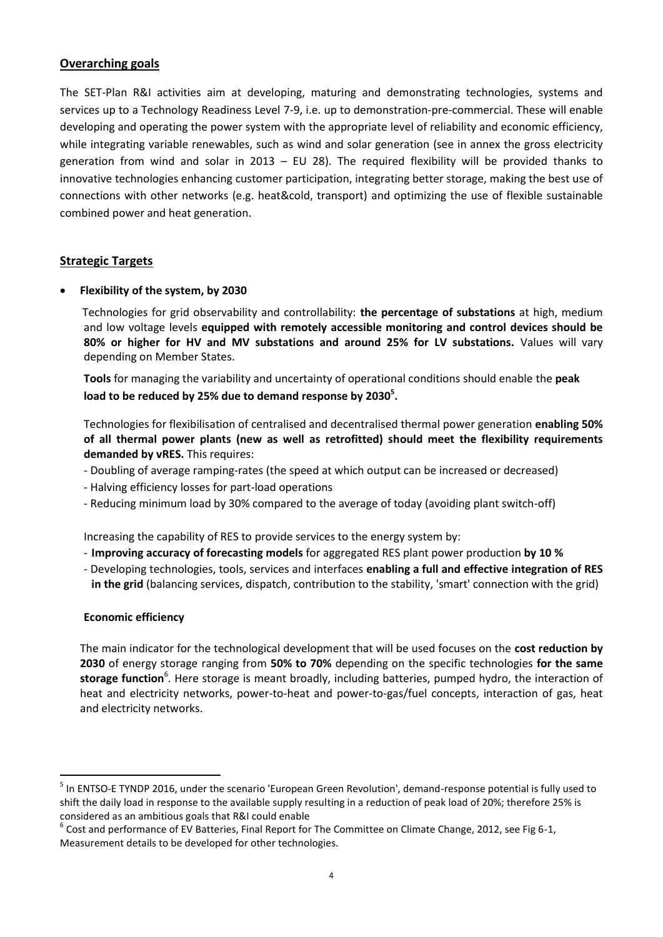### **Overarching goals**

The SET-Plan R&I activities aim at developing, maturing and demonstrating technologies, systems and services up to a Technology Readiness Level 7-9, i.e. up to demonstration-pre-commercial. These will enable developing and operating the power system with the appropriate level of reliability and economic efficiency, while integrating variable renewables, such as wind and solar generation (see in annex the gross electricity generation from wind and solar in 2013 – EU 28). The required flexibility will be provided thanks to innovative technologies enhancing customer participation, integrating better storage, making the best use of connections with other networks (e.g. heat&cold, transport) and optimizing the use of flexible sustainable combined power and heat generation.

#### **Strategic Targets**

**Flexibility of the system, by 2030**

Technologies for grid observability and controllability: **the percentage of substations** at high, medium and low voltage levels **equipped with remotely accessible monitoring and control devices should be 80% or higher for HV and MV substations and around 25% for LV substations.** Values will vary depending on Member States.

**Tools** for managing the variability and uncertainty of operational conditions should enable the **peak load to be reduced by 25% due to demand response by 2030<sup>5</sup> .**

Technologies for flexibilisation of centralised and decentralised thermal power generation **enabling 50% of all thermal power plants (new as well as retrofitted) should meet the flexibility requirements demanded by vRES.** This requires:

- Doubling of average ramping-rates (the speed at which output can be increased or decreased)
- Halving efficiency losses for part-load operations
- Reducing minimum load by 30% compared to the average of today (avoiding plant switch-off)

Increasing the capability of RES to provide services to the energy system by:

- **Improving accuracy of forecasting models** for aggregated RES plant power production **by 10 %**
- Developing technologies, tools, services and interfaces **enabling a full and effective integration of RES in the grid** (balancing services, dispatch, contribution to the stability, 'smart' connection with the grid)

#### **Economic efficiency**

 $\overline{a}$ 

The main indicator for the technological development that will be used focuses on the **cost reduction by 2030** of energy storage ranging from **50% to 70%** depending on the specific technologies **for the same**  storage function<sup>6</sup>. Here storage is meant broadly, including batteries, pumped hydro, the interaction of heat and electricity networks, power-to-heat and power-to-gas/fuel concepts, interaction of gas, heat and electricity networks.

<sup>&</sup>lt;sup>5</sup> In ENTSO-E TYNDP 2016, under the scenario 'European Green Revolution', demand-response potential is fully used to shift the daily load in response to the available supply resulting in a reduction of peak load of 20%; therefore 25% is considered as an ambitious goals that R&I could enable

 $^6$  Cost and performance of EV Batteries, Final Report for The Committee on Climate Change, 2012, see Fig 6-1, Measurement details to be developed for other technologies.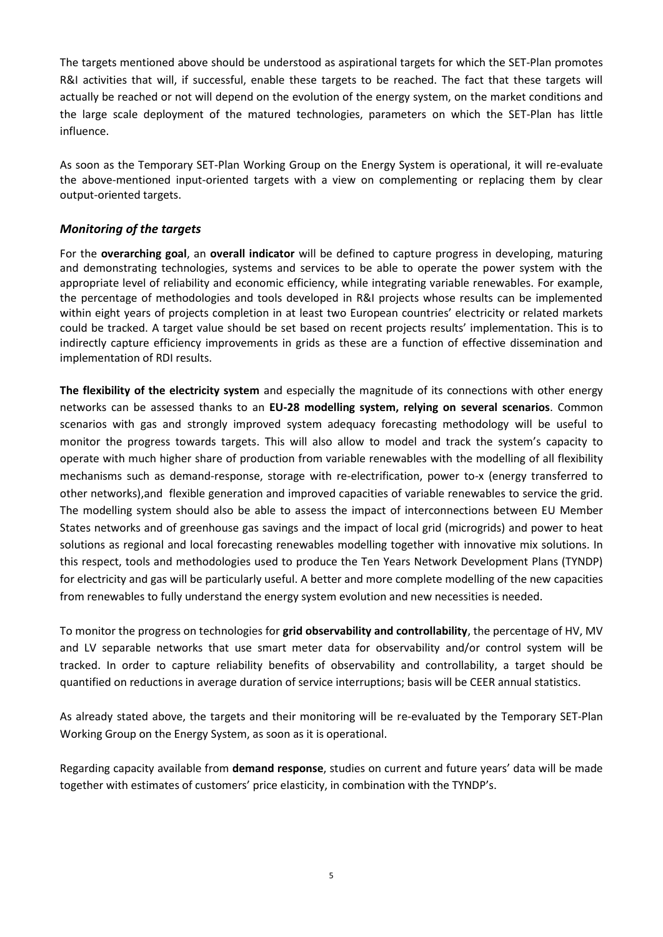The targets mentioned above should be understood as aspirational targets for which the SET-Plan promotes R&I activities that will, if successful, enable these targets to be reached. The fact that these targets will actually be reached or not will depend on the evolution of the energy system, on the market conditions and the large scale deployment of the matured technologies, parameters on which the SET-Plan has little influence.

As soon as the Temporary SET-Plan Working Group on the Energy System is operational, it will re-evaluate the above-mentioned input-oriented targets with a view on complementing or replacing them by clear output-oriented targets.

### *Monitoring of the targets*

For the **overarching goal**, an **overall indicator** will be defined to capture progress in developing, maturing and demonstrating technologies, systems and services to be able to operate the power system with the appropriate level of reliability and economic efficiency, while integrating variable renewables. For example, the percentage of methodologies and tools developed in R&I projects whose results can be implemented within eight years of projects completion in at least two European countries' electricity or related markets could be tracked. A target value should be set based on recent projects results' implementation. This is to indirectly capture efficiency improvements in grids as these are a function of effective dissemination and implementation of RDI results.

**The flexibility of the electricity system** and especially the magnitude of its connections with other energy networks can be assessed thanks to an **EU-28 modelling system, relying on several scenarios**. Common scenarios with gas and strongly improved system adequacy forecasting methodology will be useful to monitor the progress towards targets. This will also allow to model and track the system's capacity to operate with much higher share of production from variable renewables with the modelling of all flexibility mechanisms such as demand-response, storage with re-electrification, power to-x (energy transferred to other networks),and flexible generation and improved capacities of variable renewables to service the grid. The modelling system should also be able to assess the impact of interconnections between EU Member States networks and of greenhouse gas savings and the impact of local grid (microgrids) and power to heat solutions as regional and local forecasting renewables modelling together with innovative mix solutions. In this respect, tools and methodologies used to produce the Ten Years Network Development Plans (TYNDP) for electricity and gas will be particularly useful. A better and more complete modelling of the new capacities from renewables to fully understand the energy system evolution and new necessities is needed.

To monitor the progress on technologies for **grid observability and controllability**, the percentage of HV, MV and LV separable networks that use smart meter data for observability and/or control system will be tracked. In order to capture reliability benefits of observability and controllability, a target should be quantified on reductions in average duration of service interruptions; basis will be CEER annual statistics.

As already stated above, the targets and their monitoring will be re-evaluated by the Temporary SET-Plan Working Group on the Energy System, as soon as it is operational.

Regarding capacity available from **demand response**, studies on current and future years' data will be made together with estimates of customers' price elasticity, in combination with the TYNDP's.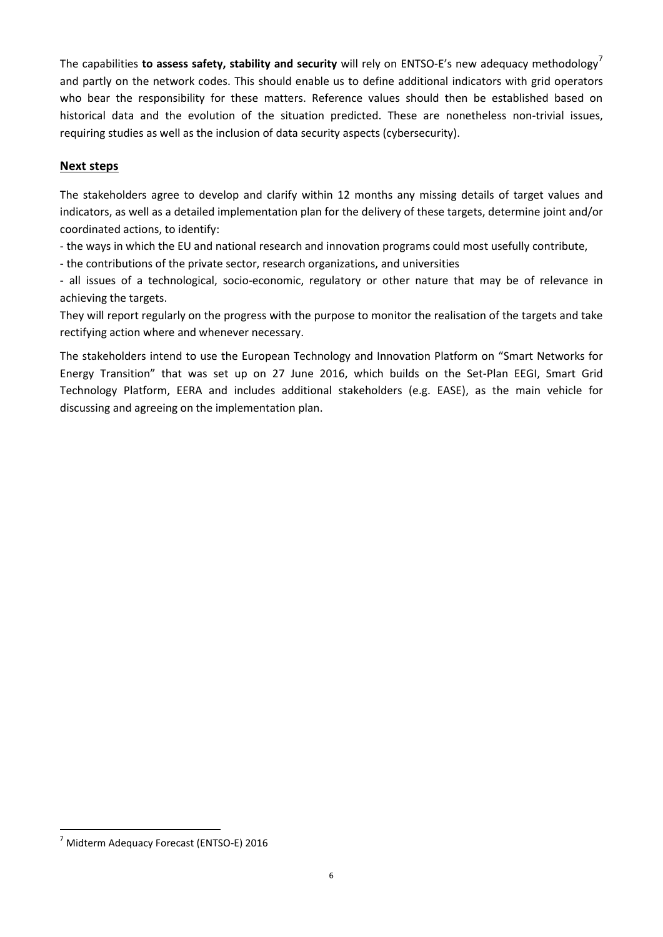The capabilities **to assess safety, stability and security** will rely on ENTSO-E's new adequacy methodology<sup>7</sup> and partly on the network codes. This should enable us to define additional indicators with grid operators who bear the responsibility for these matters. Reference values should then be established based on historical data and the evolution of the situation predicted. These are nonetheless non-trivial issues, requiring studies as well as the inclusion of data security aspects (cybersecurity).

### **Next steps**

The stakeholders agree to develop and clarify within 12 months any missing details of target values and indicators, as well as a detailed implementation plan for the delivery of these targets, determine joint and/or coordinated actions, to identify:

- the ways in which the EU and national research and innovation programs could most usefully contribute,

- the contributions of the private sector, research organizations, and universities

- all issues of a technological, socio-economic, regulatory or other nature that may be of relevance in achieving the targets.

They will report regularly on the progress with the purpose to monitor the realisation of the targets and take rectifying action where and whenever necessary.

The stakeholders intend to use the European Technology and Innovation Platform on "Smart Networks for Energy Transition" that was set up on 27 June 2016, which builds on the Set-Plan EEGI, Smart Grid Technology Platform, EERA and includes additional stakeholders (e.g. EASE), as the main vehicle for discussing and agreeing on the implementation plan.

 $\overline{a}$ 

<sup>7</sup> Midterm Adequacy Forecast (ENTSO-E) 2016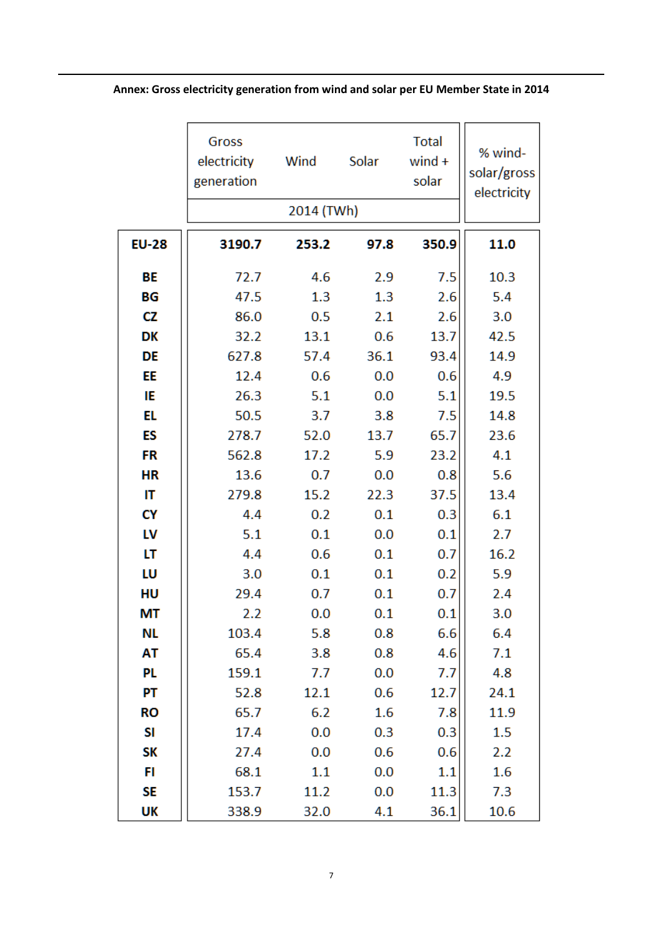|              | Gross<br>electricity<br>generation | Wind<br>2014 (TWh) | Solar | <b>Total</b><br>$wind +$<br>solar | % wind-<br>solar/gross<br>electricity |
|--------------|------------------------------------|--------------------|-------|-----------------------------------|---------------------------------------|
|              |                                    |                    |       |                                   |                                       |
| <b>EU-28</b> | 3190.7                             | 253.2              | 97.8  | 350.9                             | 11.0                                  |
| BE           | 72.7                               | 4.6                | 2.9   | 7.5                               | 10.3                                  |
| BG           | 47.5                               | 1.3                | 1.3   | 2.6                               | 5.4                                   |
| <b>CZ</b>    | 86.0                               | 0.5                | 2.1   | 2.6                               | 3.0                                   |
| DK           | 32.2                               | 13.1               | 0.6   | 13.7                              | 42.5                                  |
| DE           | 627.8                              | 57.4               | 36.1  | 93.4                              | 14.9                                  |
| EE           | 12.4                               | 0.6                | 0.0   | 0.6                               | 4.9                                   |
| IE           | 26.3                               | 5.1                | 0.0   | 5.1                               | 19.5                                  |
| EL           | 50.5                               | 3.7                | 3.8   | 7.5                               | 14.8                                  |
| ES           | 278.7                              | 52.0               | 13.7  | 65.7                              | 23.6                                  |
| FR           | 562.8                              | 17.2               | 5.9   | 23.2                              | 4.1                                   |
| <b>HR</b>    | 13.6                               | 0.7                | 0.0   | 0.8                               | 5.6                                   |
| IT           | 279.8                              | 15.2               | 22.3  | 37.5                              | 13.4                                  |
| CY           | 4.4                                | 0.2                | 0.1   | 0.3                               | 6.1                                   |
| LV           | 5.1                                | 0.1                | 0.0   | 0.1                               | 2.7                                   |
| LT           | 4.4                                | 0.6                | 0.1   | 0.7                               | 16.2                                  |
| LU           | 3.0                                | 0.1                | 0.1   | 0.2                               | 5.9                                   |
| HU           | 29.4                               | 0.7                | 0.1   | 0.7                               | 2.4                                   |
| MT           | 2.2                                | 0.0                | 0.1   | 0.1                               | 3.0                                   |
| NL           | 103.4                              | 5.8                | 0.8   | 6.6                               | 6.4                                   |
| AT           | 65.4                               | 3.8                | 0.8   | 4.6                               | 7.1                                   |
| PL.          | 159.1                              | 7.7                | 0.0   | 7.7                               | 4.8                                   |
| PT           | 52.8                               | 12.1               | 0.6   | 12.7                              | 24.1                                  |
| RO           | 65.7                               | 6.2                | 1.6   | 7.8                               | 11.9                                  |
| SI           | 17.4                               | 0.0                | 0.3   | 0.3                               | 1.5                                   |
| SΚ           | 27.4                               | 0.0                | 0.6   | 0.6                               | 2.2                                   |
| FI           | 68.1                               | 1.1                | 0.0   | 1.1                               | 1.6                                   |
| SE           | 153.7                              | 11.2               | 0.0   | 11.3                              | 7.3                                   |
| UK           | 338.9                              | 32.0               | 4.1   | 36.1                              | 10.6                                  |

## **Annex: Gross electricity generation from wind and solar per EU Member State in 2014**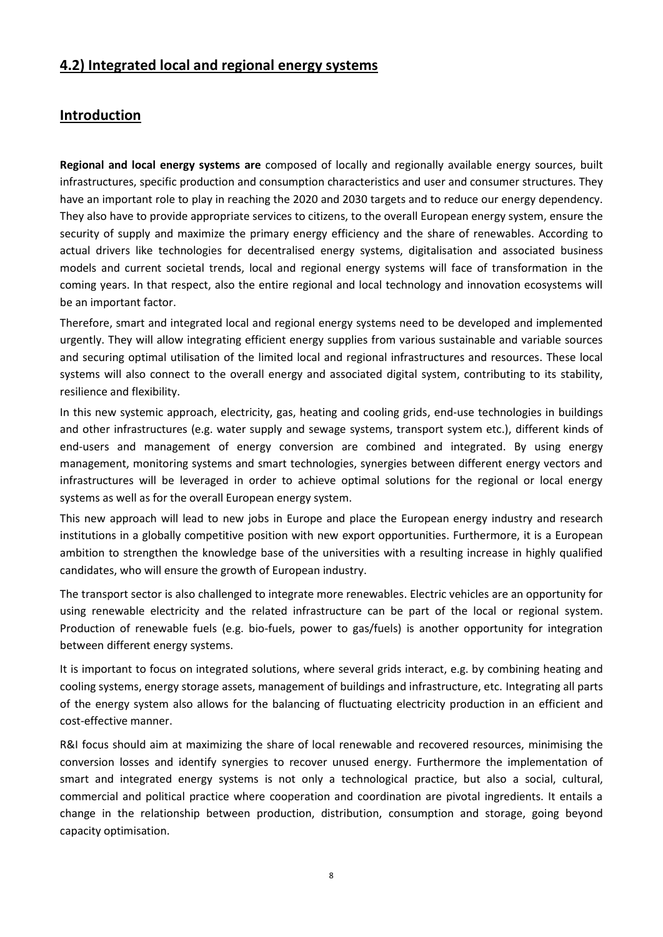## **4.2) Integrated local and regional energy systems**

## **Introduction**

**Regional and local energy systems are** composed of locally and regionally available energy sources, built infrastructures, specific production and consumption characteristics and user and consumer structures. They have an important role to play in reaching the 2020 and 2030 targets and to reduce our energy dependency. They also have to provide appropriate services to citizens, to the overall European energy system, ensure the security of supply and maximize the primary energy efficiency and the share of renewables. According to actual drivers like technologies for decentralised energy systems, digitalisation and associated business models and current societal trends, local and regional energy systems will face of transformation in the coming years. In that respect, also the entire regional and local technology and innovation ecosystems will be an important factor.

Therefore, smart and integrated local and regional energy systems need to be developed and implemented urgently. They will allow integrating efficient energy supplies from various sustainable and variable sources and securing optimal utilisation of the limited local and regional infrastructures and resources. These local systems will also connect to the overall energy and associated digital system, contributing to its stability, resilience and flexibility.

In this new systemic approach, electricity, gas, heating and cooling grids, end-use technologies in buildings and other infrastructures (e.g. water supply and sewage systems, transport system etc.), different kinds of end-users and management of energy conversion are combined and integrated. By using energy management, monitoring systems and smart technologies, synergies between different energy vectors and infrastructures will be leveraged in order to achieve optimal solutions for the regional or local energy systems as well as for the overall European energy system.

This new approach will lead to new jobs in Europe and place the European energy industry and research institutions in a globally competitive position with new export opportunities. Furthermore, it is a European ambition to strengthen the knowledge base of the universities with a resulting increase in highly qualified candidates, who will ensure the growth of European industry.

The transport sector is also challenged to integrate more renewables. Electric vehicles are an opportunity for using renewable electricity and the related infrastructure can be part of the local or regional system. Production of renewable fuels (e.g. bio-fuels, power to gas/fuels) is another opportunity for integration between different energy systems.

It is important to focus on integrated solutions, where several grids interact, e.g. by combining heating and cooling systems, energy storage assets, management of buildings and infrastructure, etc. Integrating all parts of the energy system also allows for the balancing of fluctuating electricity production in an efficient and cost-effective manner.

R&I focus should aim at maximizing the share of local renewable and recovered resources, minimising the conversion losses and identify synergies to recover unused energy. Furthermore the implementation of smart and integrated energy systems is not only a technological practice, but also a social, cultural, commercial and political practice where cooperation and coordination are pivotal ingredients. It entails a change in the relationship between production, distribution, consumption and storage, going beyond capacity optimisation.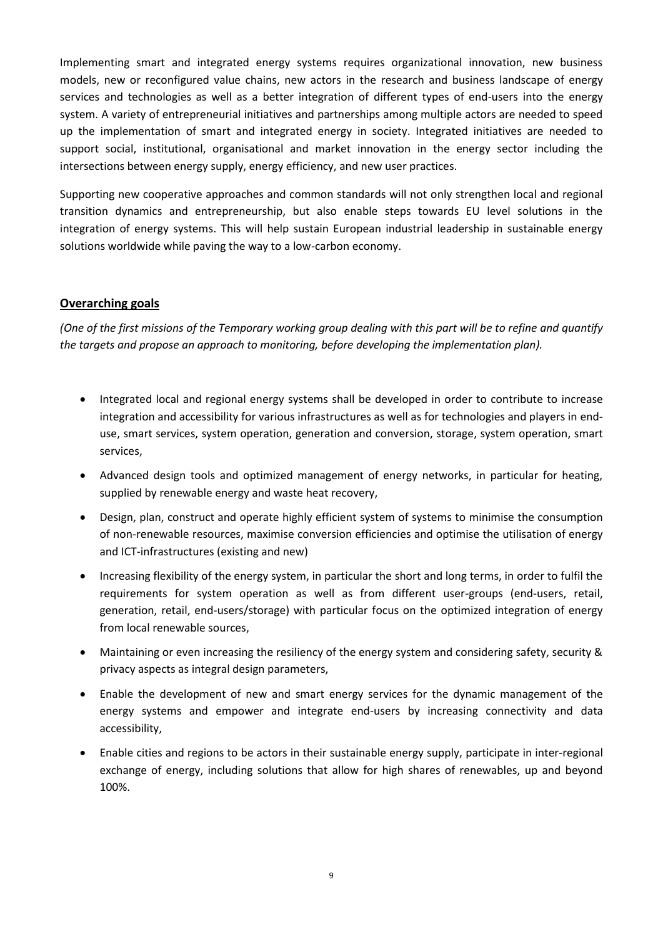Implementing smart and integrated energy systems requires organizational innovation, new business models, new or reconfigured value chains, new actors in the research and business landscape of energy services and technologies as well as a better integration of different types of end-users into the energy system. A variety of entrepreneurial initiatives and partnerships among multiple actors are needed to speed up the implementation of smart and integrated energy in society. Integrated initiatives are needed to support social, institutional, organisational and market innovation in the energy sector including the intersections between energy supply, energy efficiency, and new user practices.

Supporting new cooperative approaches and common standards will not only strengthen local and regional transition dynamics and entrepreneurship, but also enable steps towards EU level solutions in the integration of energy systems. This will help sustain European industrial leadership in sustainable energy solutions worldwide while paving the way to a low-carbon economy.

### **Overarching goals**

*(One of the first missions of the Temporary working group dealing with this part will be to refine and quantify the targets and propose an approach to monitoring, before developing the implementation plan).*

- Integrated local and regional energy systems shall be developed in order to contribute to increase integration and accessibility for various infrastructures as well as for technologies and players in enduse, smart services, system operation, generation and conversion, storage, system operation, smart services,
- Advanced design tools and optimized management of energy networks, in particular for heating, supplied by renewable energy and waste heat recovery,
- Design, plan, construct and operate highly efficient system of systems to minimise the consumption of non-renewable resources, maximise conversion efficiencies and optimise the utilisation of energy and ICT-infrastructures (existing and new)
- Increasing flexibility of the energy system, in particular the short and long terms, in order to fulfil the requirements for system operation as well as from different user-groups (end-users, retail, generation, retail, end-users/storage) with particular focus on the optimized integration of energy from local renewable sources,
- Maintaining or even increasing the resiliency of the energy system and considering safety, security & privacy aspects as integral design parameters,
- Enable the development of new and smart energy services for the dynamic management of the energy systems and empower and integrate end-users by increasing connectivity and data accessibility,
- Enable cities and regions to be actors in their sustainable energy supply, participate in inter-regional exchange of energy, including solutions that allow for high shares of renewables, up and beyond 100%.